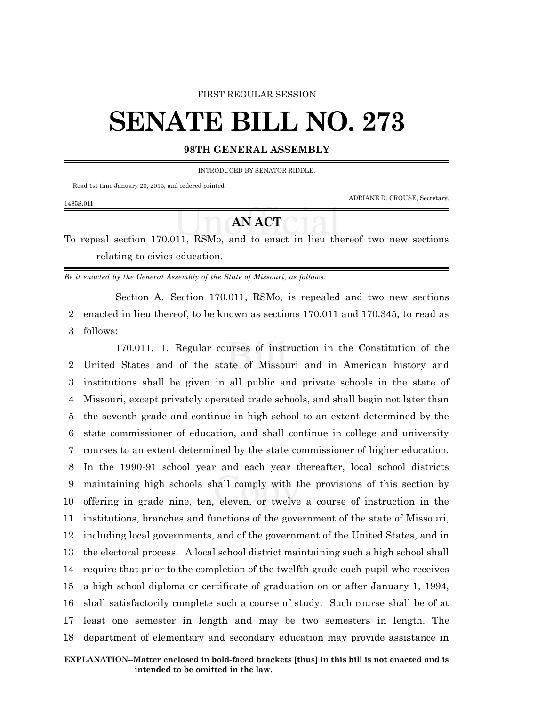#### FIRST REGULAR SESSION

# **SENATE BILL NO. 273**

#### **98TH GENERAL ASSEMBLY**

INTRODUCED BY SENATOR RIDDLE.

Read 1st time January 20, 2015, and ordered printed.

ADRIANE D. CROUSE, Secretary.

### 1485S.01I

## **AN ACT**

To repeal section 170.011, RSMo, and to enact in lieu thereof two new sections relating to civics education.

*Be it enacted by the General Assembly of the State of Missouri, as follows:*

Section A. Section 170.011, RSMo, is repealed and two new sections 2 enacted in lieu thereof, to be known as sections 170.011 and 170.345, to read as 3 follows:

170.011. 1. Regular courses of instruction in the Constitution of the United States and of the state of Missouri and in American history and institutions shall be given in all public and private schools in the state of Missouri, except privately operated trade schools, and shall begin not later than the seventh grade and continue in high school to an extent determined by the state commissioner of education, and shall continue in college and university courses to an extent determined by the state commissioner of higher education. In the 1990-91 school year and each year thereafter, local school districts maintaining high schools shall comply with the provisions of this section by offering in grade nine, ten, eleven, or twelve a course of instruction in the institutions, branches and functions of the government of the state of Missouri, including local governments, and of the government of the United States, and in the electoral process. A local school district maintaining such a high school shall require that prior to the completion of the twelfth grade each pupil who receives a high school diploma or certificate of graduation on or after January 1, 1994, shall satisfactorily complete such a course of study. Such course shall be of at least one semester in length and may be two semesters in length. The department of elementary and secondary education may provide assistance in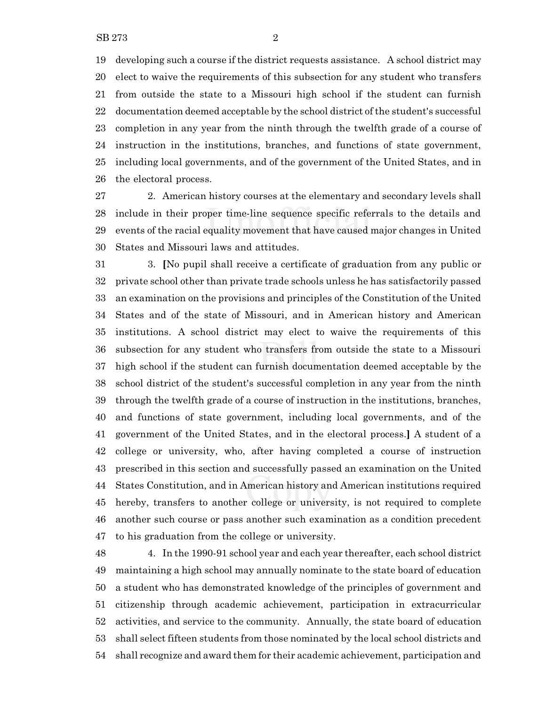developing such a course if the district requests assistance. A school district may elect to waive the requirements of this subsection for any student who transfers from outside the state to a Missouri high school if the student can furnish documentation deemed acceptable by the school district of the student's successful completion in any year from the ninth through the twelfth grade of a course of instruction in the institutions, branches, and functions of state government, including local governments, and of the government of the United States, and in the electoral process.

 2. American history courses at the elementary and secondary levels shall include in their proper time-line sequence specific referrals to the details and events of the racial equality movement that have caused major changes in United States and Missouri laws and attitudes.

 3. **[**No pupil shall receive a certificate of graduation from any public or private school other than private trade schools unless he has satisfactorily passed an examination on the provisions and principles of the Constitution of the United States and of the state of Missouri, and in American history and American institutions. A school district may elect to waive the requirements of this subsection for any student who transfers from outside the state to a Missouri high school if the student can furnish documentation deemed acceptable by the school district of the student's successful completion in any year from the ninth through the twelfth grade of a course of instruction in the institutions, branches, and functions of state government, including local governments, and of the government of the United States, and in the electoral process.**]** A student of a college or university, who, after having completed a course of instruction prescribed in this section and successfully passed an examination on the United States Constitution, and in American history and American institutions required hereby, transfers to another college or university, is not required to complete another such course or pass another such examination as a condition precedent to his graduation from the college or university.

 4. In the 1990-91 school year and each year thereafter, each school district maintaining a high school may annually nominate to the state board of education a student who has demonstrated knowledge of the principles of government and citizenship through academic achievement, participation in extracurricular activities, and service to the community. Annually, the state board of education shall select fifteen students from those nominated by the local school districts and shall recognize and award them for their academic achievement, participation and